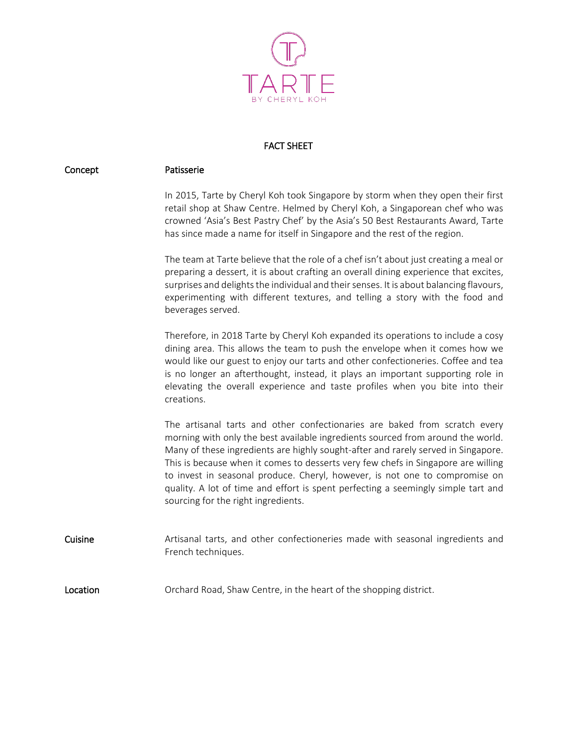

## FACT SHEET

| Concept  | Patisserie                                                                                                                                                                                                                                                                                                                                                                                                                                                                                                                                         |
|----------|----------------------------------------------------------------------------------------------------------------------------------------------------------------------------------------------------------------------------------------------------------------------------------------------------------------------------------------------------------------------------------------------------------------------------------------------------------------------------------------------------------------------------------------------------|
|          | In 2015, Tarte by Cheryl Koh took Singapore by storm when they open their first<br>retail shop at Shaw Centre. Helmed by Cheryl Koh, a Singaporean chef who was<br>crowned 'Asia's Best Pastry Chef' by the Asia's 50 Best Restaurants Award, Tarte<br>has since made a name for itself in Singapore and the rest of the region.                                                                                                                                                                                                                   |
|          | The team at Tarte believe that the role of a chef isn't about just creating a meal or<br>preparing a dessert, it is about crafting an overall dining experience that excites,<br>surprises and delights the individual and their senses. It is about balancing flavours,<br>experimenting with different textures, and telling a story with the food and<br>beverages served.                                                                                                                                                                      |
|          | Therefore, in 2018 Tarte by Cheryl Koh expanded its operations to include a cosy<br>dining area. This allows the team to push the envelope when it comes how we<br>would like our guest to enjoy our tarts and other confectioneries. Coffee and tea<br>is no longer an afterthought, instead, it plays an important supporting role in<br>elevating the overall experience and taste profiles when you bite into their<br>creations.                                                                                                              |
|          | The artisanal tarts and other confectionaries are baked from scratch every<br>morning with only the best available ingredients sourced from around the world.<br>Many of these ingredients are highly sought-after and rarely served in Singapore.<br>This is because when it comes to desserts very few chefs in Singapore are willing<br>to invest in seasonal produce. Cheryl, however, is not one to compromise on<br>quality. A lot of time and effort is spent perfecting a seemingly simple tart and<br>sourcing for the right ingredients. |
| Cuisine  | Artisanal tarts, and other confectioneries made with seasonal ingredients and<br>French techniques.                                                                                                                                                                                                                                                                                                                                                                                                                                                |
| Location | Orchard Road, Shaw Centre, in the heart of the shopping district.                                                                                                                                                                                                                                                                                                                                                                                                                                                                                  |